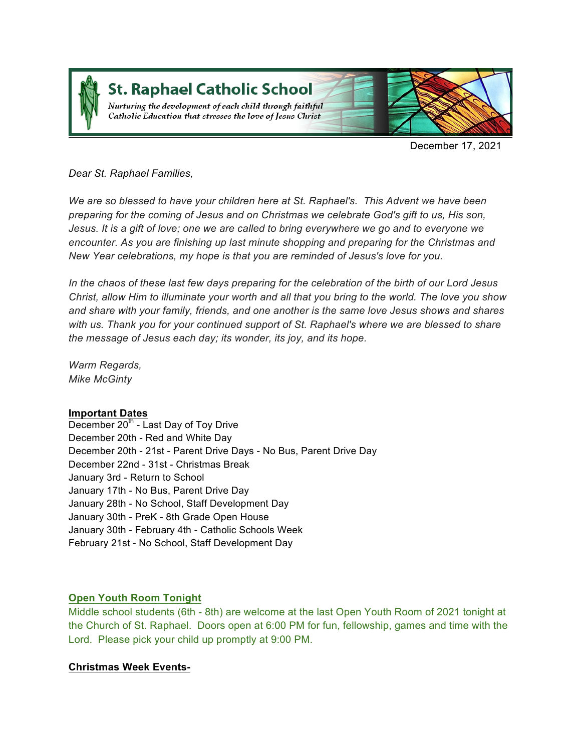

# **St. Raphael Catholic School**

Nurturing the development of each child through faithful Catholic Education that stresses the love of Jesus Christ



December 17, 2021

#### *Dear St. Raphael Families,*

*We are so blessed to have your children here at St. Raphael's. This Advent we have been preparing for the coming of Jesus and on Christmas we celebrate God's gift to us, His son, Jesus. It is a gift of love; one we are called to bring everywhere we go and to everyone we encounter. As you are finishing up last minute shopping and preparing for the Christmas and New Year celebrations, my hope is that you are reminded of Jesus's love for you.*

*In the chaos of these last few days preparing for the celebration of the birth of our Lord Jesus Christ, allow Him to illuminate your worth and all that you bring to the world. The love you show and share with your family, friends, and one another is the same love Jesus shows and shares with us. Thank you for your continued support of St. Raphael's where we are blessed to share the message of Jesus each day; its wonder, its joy, and its hope.*

*Warm Regards, Mike McGinty*

# **Important Dates**

December  $20^{th}$  - Last Day of Toy Drive December 20th - Red and White Day December 20th - 21st - Parent Drive Days - No Bus, Parent Drive Day December 22nd - 31st - Christmas Break January 3rd - Return to School January 17th - No Bus, Parent Drive Day January 28th - No School, Staff Development Day January 30th - PreK - 8th Grade Open House January 30th - February 4th - Catholic Schools Week February 21st - No School, Staff Development Day

# **Open Youth Room Tonight**

Middle school students (6th - 8th) are welcome at the last Open Youth Room of 2021 tonight at the Church of St. Raphael. Doors open at 6:00 PM for fun, fellowship, games and time with the Lord. Please pick your child up promptly at 9:00 PM.

# **Christmas Week Events-**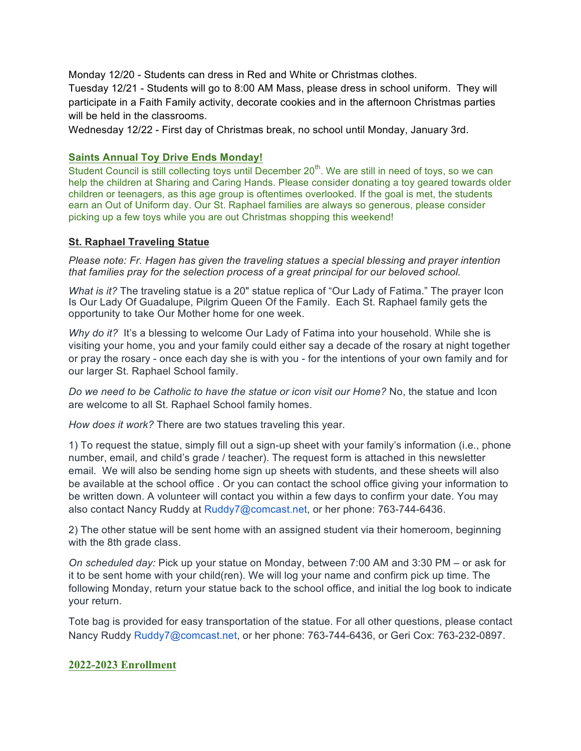Monday 12/20 - Students can dress in Red and White or Christmas clothes.

Tuesday 12/21 - Students will go to 8:00 AM Mass, please dress in school uniform. They will participate in a Faith Family activity, decorate cookies and in the afternoon Christmas parties will be held in the classrooms.

Wednesday 12/22 - First day of Christmas break, no school until Monday, January 3rd.

#### **Saints Annual Toy Drive Ends Monday!**

Student Council is still collecting toys until December 20<sup>th</sup>. We are still in need of toys, so we can help the children at Sharing and Caring Hands. Please consider donating a toy geared towards older children or teenagers, as this age group is oftentimes overlooked. If the goal is met, the students earn an Out of Uniform day. Our St. Raphael families are always so generous, please consider picking up a few toys while you are out Christmas shopping this weekend!

#### **St. Raphael Traveling Statue**

*Please note: Fr. Hagen has given the traveling statues a special blessing and prayer intention that families pray for the selection process of a great principal for our beloved school.*

*What is it?* The traveling statue is a 20" statue replica of "Our Lady of Fatima." The prayer Icon Is Our Lady Of Guadalupe, Pilgrim Queen Of the Family. Each St. Raphael family gets the opportunity to take Our Mother home for one week.

*Why do it?* It's a blessing to welcome Our Lady of Fatima into your household. While she is visiting your home, you and your family could either say a decade of the rosary at night together or pray the rosary - once each day she is with you - for the intentions of your own family and for our larger St. Raphael School family.

*Do we need to be Catholic to have the statue or icon visit our Home?* No, the statue and Icon are welcome to all St. Raphael School family homes.

*How does it work?* There are two statues traveling this year.

1) To request the statue, simply fill out a sign-up sheet with your family's information (i.e., phone number, email, and child's grade / teacher). The request form is attached in this newsletter email. We will also be sending home sign up sheets with students, and these sheets will also be available at the school office . Or you can contact the school office giving your information to be written down. A volunteer will contact you within a few days to confirm your date. You may also contact Nancy Ruddy at Ruddy7@comcast.net, or her phone: 763-744-6436.

2) The other statue will be sent home with an assigned student via their homeroom, beginning with the 8th grade class.

*On scheduled day:* Pick up your statue on Monday, between 7:00 AM and 3:30 PM – or ask for it to be sent home with your child(ren). We will log your name and confirm pick up time. The following Monday, return your statue back to the school office, and initial the log book to indicate your return.

Tote bag is provided for easy transportation of the statue. For all other questions, please contact Nancy Ruddy Ruddy7@comcast.net, or her phone: 763-744-6436, or Geri Cox: 763-232-0897.

# **2022-2023 Enrollment**